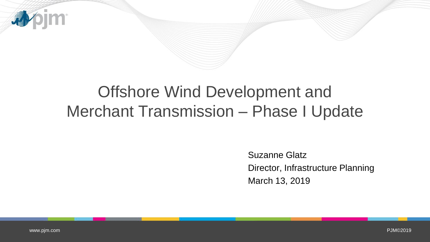

# Offshore Wind Development and Merchant Transmission – Phase I Update

Suzanne Glatz Director, Infrastructure Planning March 13, 2019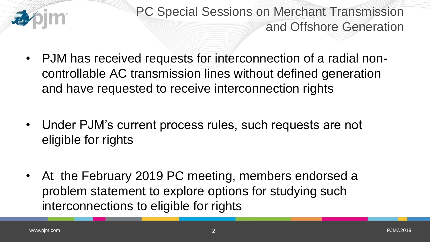

PC Special Sessions on Merchant Transmission and Offshore Generation

- PJM has received requests for interconnection of a radial noncontrollable AC transmission lines without defined generation and have requested to receive interconnection rights
- Under PJM's current process rules, such requests are not eligible for rights
- At the February 2019 PC meeting, members endorsed a problem statement to explore options for studying such interconnections to eligible for rights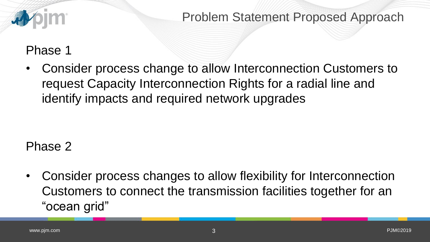

Problem Statement Proposed Approach

### Phase 1

• Consider process change to allow Interconnection Customers to request Capacity Interconnection Rights for a radial line and identify impacts and required network upgrades

# Phase 2

• Consider process changes to allow flexibility for Interconnection Customers to connect the transmission facilities together for an "ocean grid"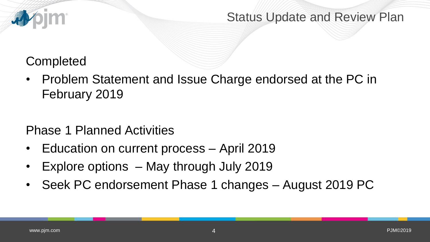

#### Status Update and Review Plan

# **Completed**

• Problem Statement and Issue Charge endorsed at the PC in February 2019

# Phase 1 Planned Activities

- Education on current process April 2019
- Explore options May through July 2019
- Seek PC endorsement Phase 1 changes August 2019 PC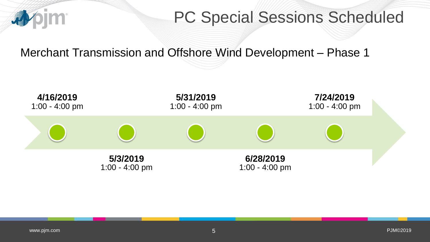